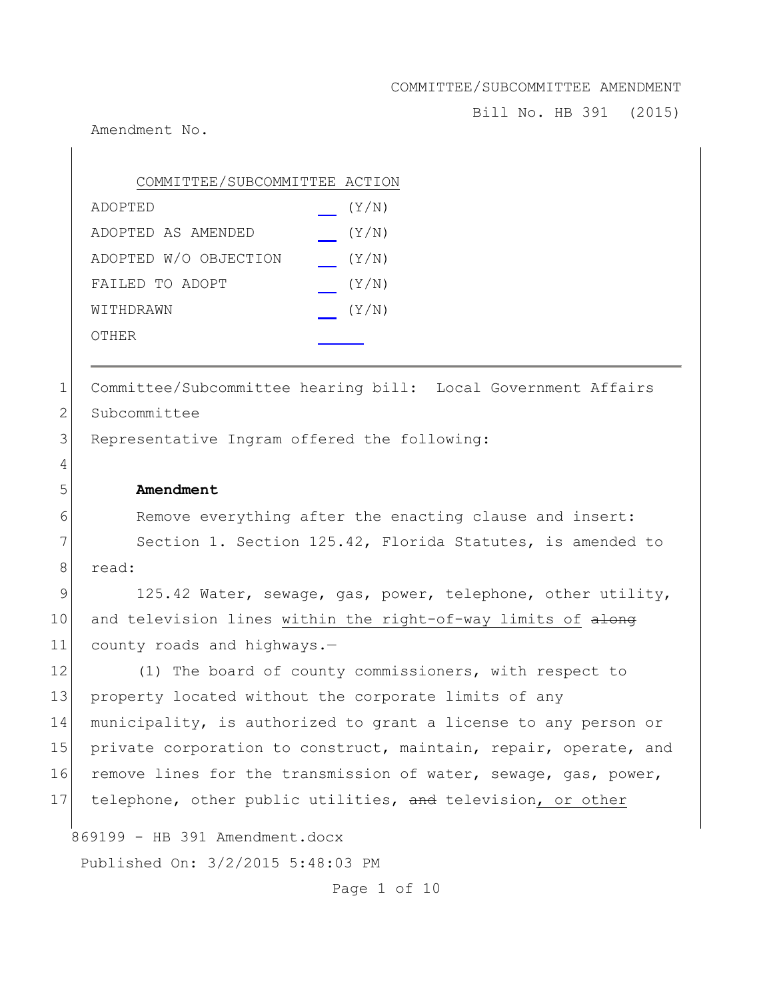Bill No. HB 391 (2015)

Amendment No.

| COMMITTEE/SUBCOMMITTEE ACTION |       |
|-------------------------------|-------|
| ADOPTED                       | (Y/N) |
| ADOPTED AS AMENDED            | (Y/N) |
| ADOPTED W/O OBJECTION         | (Y/N) |
| FAILED TO ADOPT               | (Y/N) |
| WITHDRAWN                     | (Y/N) |
| OTHER                         |       |

1 Committee/Subcommittee hearing bill: Local Government Affairs 2 Subcommittee

3 Representative Ingram offered the following:

# 5 **Amendment**

4

6 Remove everything after the enacting clause and insert:

7 Section 1. Section 125.42, Florida Statutes, is amended to 8 read:

9 125.42 Water, sewage, gas, power, telephone, other utility, 10 and television lines within the right-of-way limits of along 11 county roads and highways.-

12 (1) The board of county commissioners, with respect to 13 property located without the corporate limits of any 14 municipality, is authorized to grant a license to any person or 15 private corporation to construct, maintain, repair, operate, and 16 remove lines for the transmission of water, sewage, gas, power, 17 telephone, other public utilities, and television, or other

869199 - HB 391 Amendment.docx

Published On: 3/2/2015 5:48:03 PM

Page 1 of 10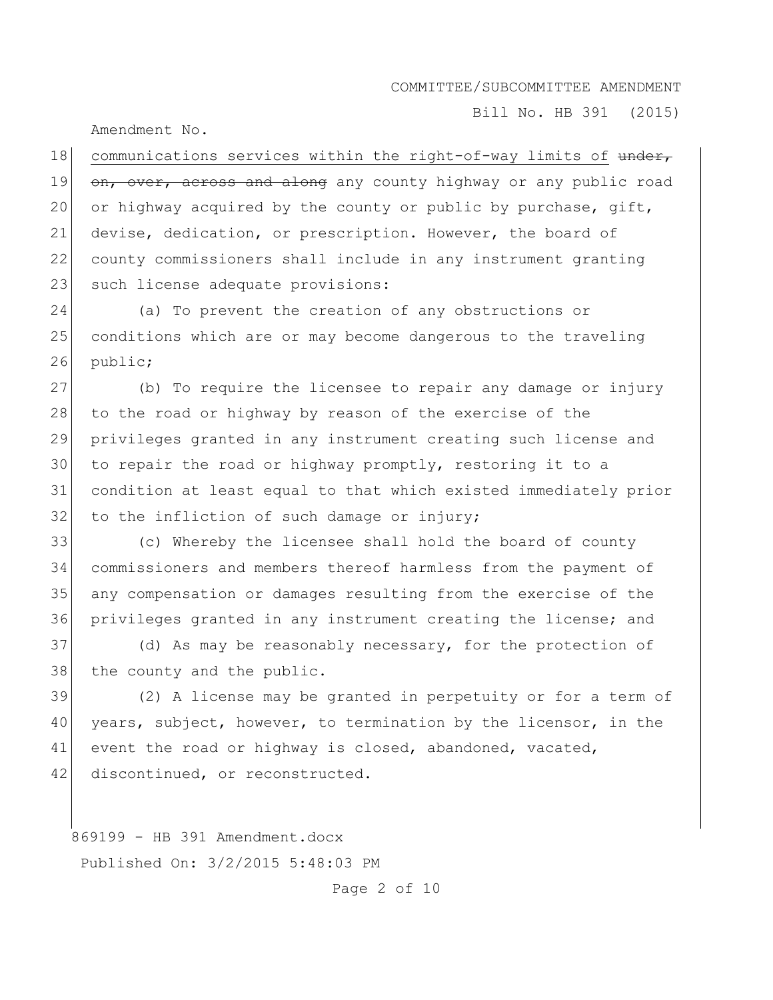Bill No. HB 391 (2015)

Amendment No.

18 communications services within the right-of-way limits of under, 19 on, over, across and along any county highway or any public road 20 or highway acquired by the county or public by purchase, gift, 21 devise, dedication, or prescription. However, the board of 22 county commissioners shall include in any instrument granting 23 such license adequate provisions:

24 (a) To prevent the creation of any obstructions or 25 conditions which are or may become dangerous to the traveling 26 public;

 (b) To require the licensee to repair any damage or injury 28 to the road or highway by reason of the exercise of the privileges granted in any instrument creating such license and to repair the road or highway promptly, restoring it to a condition at least equal to that which existed immediately prior to the infliction of such damage or injury;

 (c) Whereby the licensee shall hold the board of county commissioners and members thereof harmless from the payment of any compensation or damages resulting from the exercise of the privileges granted in any instrument creating the license; and

37 (d) As may be reasonably necessary, for the protection of 38 the county and the public.

39 (2) A license may be granted in perpetuity or for a term of 40 years, subject, however, to termination by the licensor, in the 41 event the road or highway is closed, abandoned, vacated, 42 discontinued, or reconstructed.

869199 - HB 391 Amendment.docx Published On: 3/2/2015 5:48:03 PM

Page 2 of 10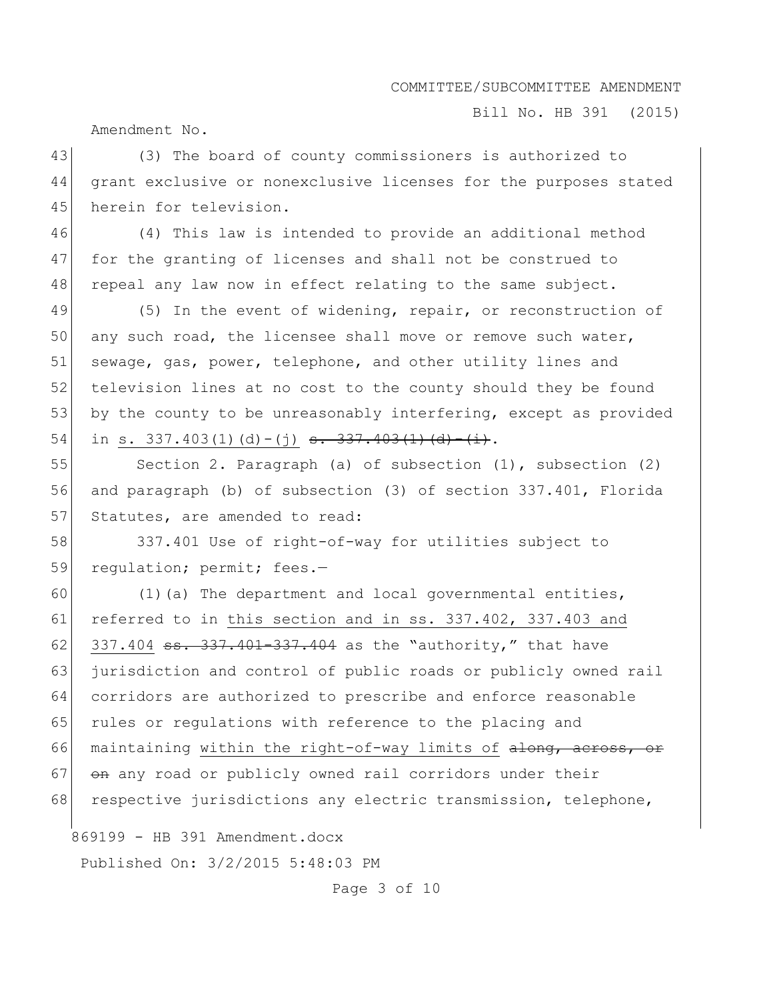Bill No. HB 391 (2015)

Amendment No.

43 (3) The board of county commissioners is authorized to 44 grant exclusive or nonexclusive licenses for the purposes stated 45 herein for television.

46 (4) This law is intended to provide an additional method 47 for the granting of licenses and shall not be construed to 48 repeal any law now in effect relating to the same subject.

49 (5) In the event of widening, repair, or reconstruction of 50 any such road, the licensee shall move or remove such water, 51 sewage, gas, power, telephone, and other utility lines and 52 television lines at no cost to the county should they be found 53 by the county to be unreasonably interfering, except as provided 54 in s. 337.403(1)(d)-(j) <del>s. 337.403(1)(d)-(i)</del>.

55 Section 2. Paragraph (a) of subsection (1), subsection (2) 56 and paragraph (b) of subsection (3) of section 337.401, Florida 57 Statutes, are amended to read:

58 337.401 Use of right-of-way for utilities subject to 59 regulation; permit; fees.-

60 (1)(a) The department and local governmental entities, 61 referred to in this section and in ss. 337.402, 337.403 and 62 337.404  $\text{ss.}337.401 - 337.404$  as the "authority," that have 63 jurisdiction and control of public roads or publicly owned rail 64 corridors are authorized to prescribe and enforce reasonable 65 rules or regulations with reference to the placing and 66 maintaining within the right-of-way limits of along, across, or  $67$   $\theta$  any road or publicly owned rail corridors under their 68 respective jurisdictions any electric transmission, telephone,

869199 - HB 391 Amendment.docx

Published On: 3/2/2015 5:48:03 PM

Page 3 of 10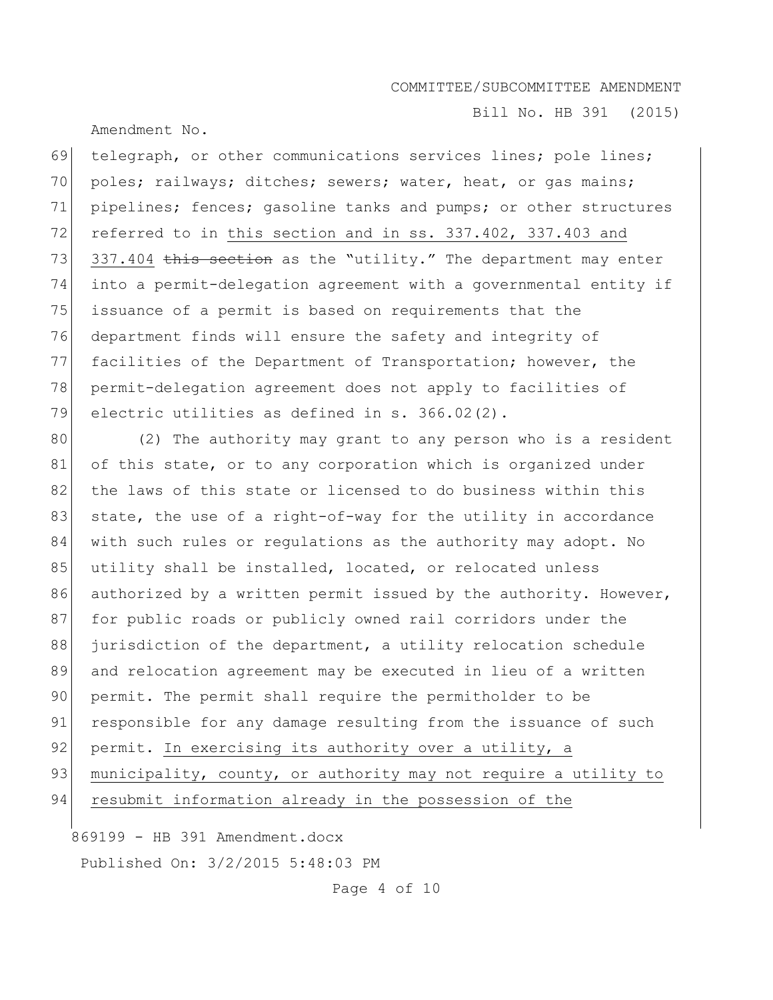Bill No. HB 391 (2015)

Amendment No.

69 telegraph, or other communications services lines; pole lines; 70 poles; railways; ditches; sewers; water, heat, or gas mains; 71 pipelines; fences; gasoline tanks and pumps; or other structures 72 referred to in this section and in ss. 337.402, 337.403 and 73  $337.404$  this section as the "utility." The department may enter 74 into a permit-delegation agreement with a governmental entity if 75 issuance of a permit is based on requirements that the 76 department finds will ensure the safety and integrity of 77 facilities of the Department of Transportation; however, the 78 permit-delegation agreement does not apply to facilities of 79 electric utilities as defined in s. 366.02(2).

80 (2) The authority may grant to any person who is a resident 81 of this state, or to any corporation which is organized under 82 the laws of this state or licensed to do business within this 83 state, the use of a right-of-way for the utility in accordance 84 with such rules or regulations as the authority may adopt. No 85 utility shall be installed, located, or relocated unless 86 authorized by a written permit issued by the authority. However, 87 for public roads or publicly owned rail corridors under the 88 jurisdiction of the department, a utility relocation schedule 89 and relocation agreement may be executed in lieu of a written 90 permit. The permit shall require the permitholder to be 91 responsible for any damage resulting from the issuance of such 92 permit. In exercising its authority over a utility, a 93 municipality, county, or authority may not require a utility to 94 resubmit information already in the possession of the

869199 - HB 391 Amendment.docx

Published On: 3/2/2015 5:48:03 PM

Page 4 of 10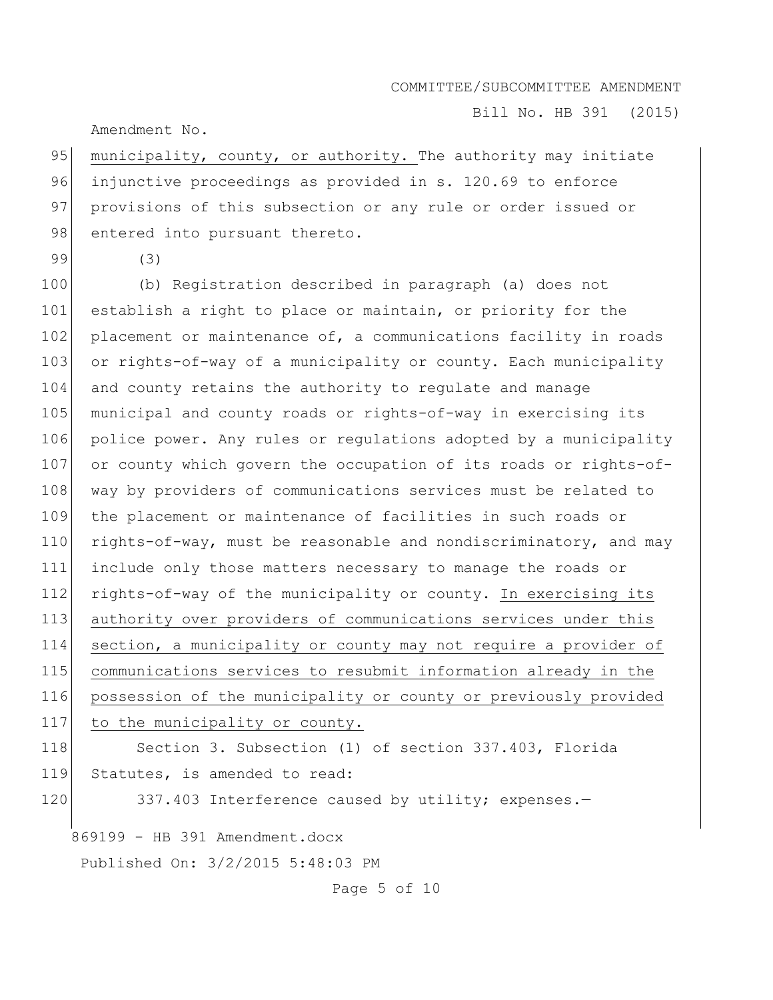Bill No. HB 391 (2015)

Amendment No.

95 municipality, county, or authority. The authority may initiate 96 injunctive proceedings as provided in s. 120.69 to enforce 97 provisions of this subsection or any rule or order issued or 98 entered into pursuant thereto.

99 (3)

 (b) Registration described in paragraph (a) does not establish a right to place or maintain, or priority for the 102 placement or maintenance of, a communications facility in roads 103 or rights-of-way of a municipality or county. Each municipality and county retains the authority to regulate and manage municipal and county roads or rights-of-way in exercising its police power. Any rules or regulations adopted by a municipality 107 or county which govern the occupation of its roads or rights-of-108 way by providers of communications services must be related to the placement or maintenance of facilities in such roads or 110 rights-of-way, must be reasonable and nondiscriminatory, and may include only those matters necessary to manage the roads or rights-of-way of the municipality or county. In exercising its authority over providers of communications services under this section, a municipality or county may not require a provider of communications services to resubmit information already in the possession of the municipality or county or previously provided 117 to the municipality or county.

118 Section 3. Subsection (1) of section 337.403, Florida 119 Statutes, is amended to read:

120 337.403 Interference caused by utility; expenses.-

869199 - HB 391 Amendment.docx

Published On: 3/2/2015 5:48:03 PM

Page 5 of 10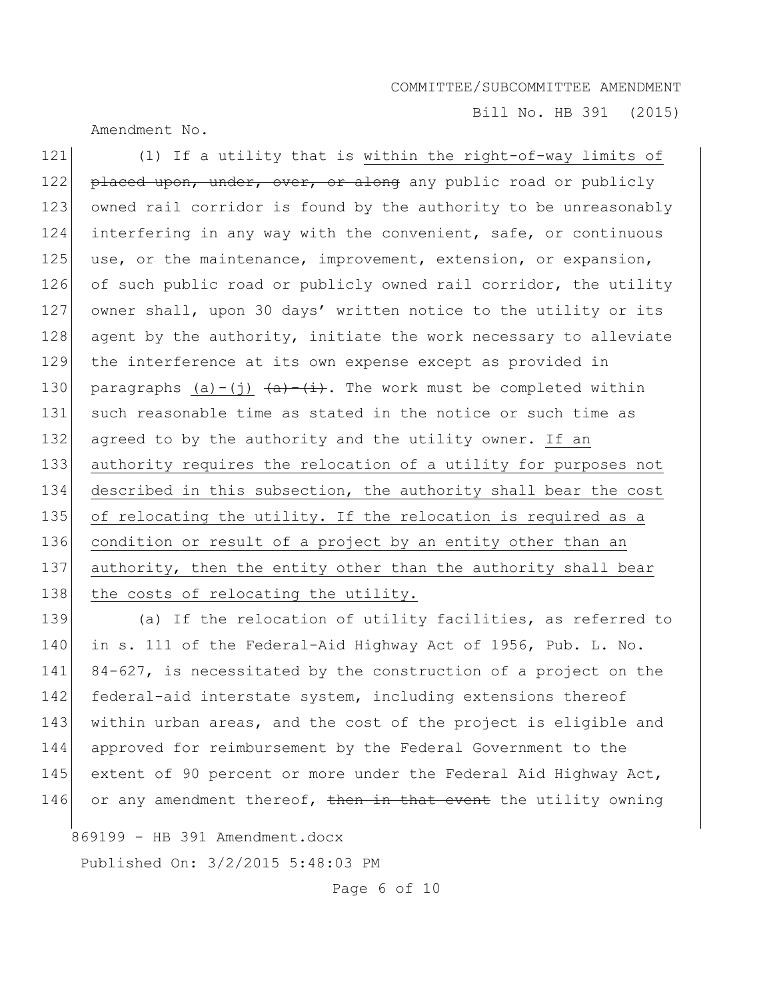Bill No. HB 391 (2015)

Amendment No.

121 (1) If a utility that is within the right-of-way limits of 122 placed upon, under, over, or along any public road or publicly 123 owned rail corridor is found by the authority to be unreasonably 124 interfering in any way with the convenient, safe, or continuous 125 use, or the maintenance, improvement, extension, or expansion, 126 of such public road or publicly owned rail corridor, the utility 127 owner shall, upon 30 days' written notice to the utility or its 128 agent by the authority, initiate the work necessary to alleviate 129 the interference at its own expense except as provided in 130 paragraphs (a)-(j)  $\frac{a}{a} + \frac{1}{b}$ . The work must be completed within 131 such reasonable time as stated in the notice or such time as 132 agreed to by the authority and the utility owner. If an 133 authority requires the relocation of a utility for purposes not 134 described in this subsection, the authority shall bear the cost 135 of relocating the utility. If the relocation is required as a 136 condition or result of a project by an entity other than an 137 authority, then the entity other than the authority shall bear 138 the costs of relocating the utility.

139 (a) If the relocation of utility facilities, as referred to 140 in s. 111 of the Federal-Aid Highway Act of 1956, Pub. L. No. 141 84-627, is necessitated by the construction of a project on the 142 federal-aid interstate system, including extensions thereof 143 within urban areas, and the cost of the project is eligible and 144 approved for reimbursement by the Federal Government to the 145 extent of 90 percent or more under the Federal Aid Highway Act, 146 or any amendment thereof, then in that event the utility owning

869199 - HB 391 Amendment.docx

Published On: 3/2/2015 5:48:03 PM

Page 6 of 10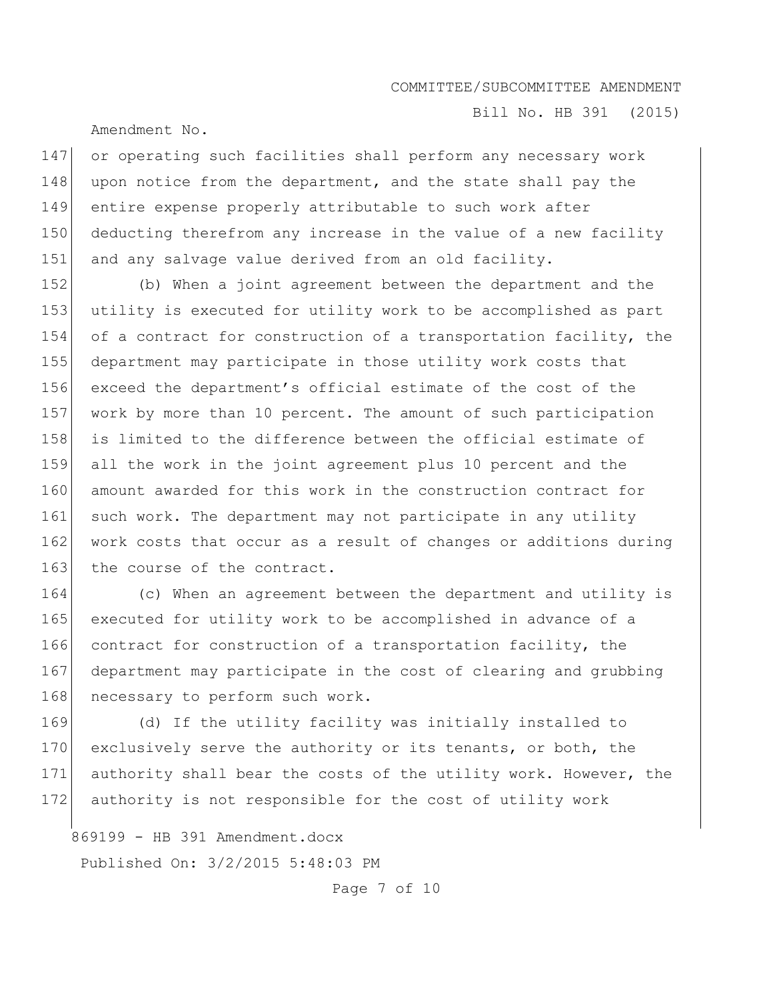Bill No. HB 391 (2015)

Amendment No.

147 or operating such facilities shall perform any necessary work 148 upon notice from the department, and the state shall pay the 149 entire expense properly attributable to such work after 150 deducting therefrom any increase in the value of a new facility 151 and any salvage value derived from an old facility.

 (b) When a joint agreement between the department and the utility is executed for utility work to be accomplished as part of a contract for construction of a transportation facility, the department may participate in those utility work costs that exceed the department's official estimate of the cost of the work by more than 10 percent. The amount of such participation is limited to the difference between the official estimate of all the work in the joint agreement plus 10 percent and the 160 amount awarded for this work in the construction contract for 161 such work. The department may not participate in any utility 162 work costs that occur as a result of changes or additions during 163 the course of the contract.

164 (c) When an agreement between the department and utility is 165 executed for utility work to be accomplished in advance of a 166 contract for construction of a transportation facility, the 167 department may participate in the cost of clearing and grubbing 168 necessary to perform such work.

169 (d) If the utility facility was initially installed to 170 exclusively serve the authority or its tenants, or both, the 171 authority shall bear the costs of the utility work. However, the 172 authority is not responsible for the cost of utility work

869199 - HB 391 Amendment.docx Published On: 3/2/2015 5:48:03 PM

Page 7 of 10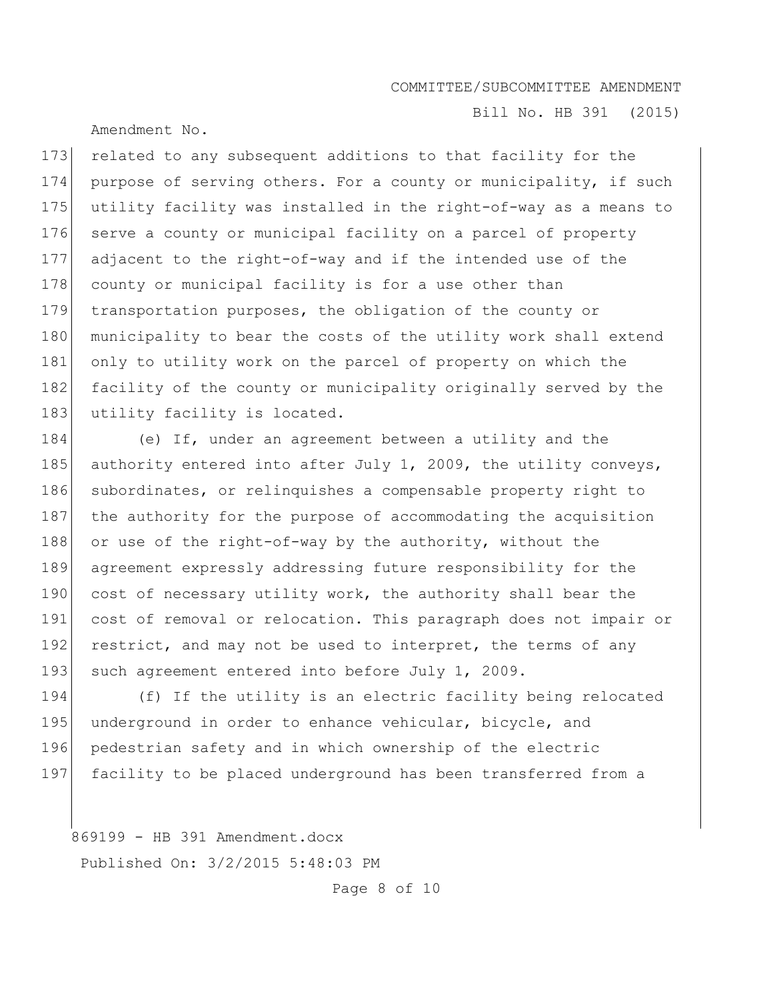Amendment No.

Bill No. HB 391 (2015)

173 related to any subsequent additions to that facility for the 174 purpose of serving others. For a county or municipality, if such 175 utility facility was installed in the right-of-way as a means to 176 serve a county or municipal facility on a parcel of property 177 adjacent to the right-of-way and if the intended use of the 178 county or municipal facility is for a use other than 179 transportation purposes, the obligation of the county or 180 municipality to bear the costs of the utility work shall extend 181 only to utility work on the parcel of property on which the 182 facility of the county or municipality originally served by the 183 utility facility is located.

184 (e) If, under an agreement between a utility and the 185 authority entered into after July 1, 2009, the utility conveys, 186 subordinates, or relinquishes a compensable property right to 187 the authority for the purpose of accommodating the acquisition 188 or use of the right-of-way by the authority, without the 189 agreement expressly addressing future responsibility for the 190 cost of necessary utility work, the authority shall bear the 191 cost of removal or relocation. This paragraph does not impair or 192 restrict, and may not be used to interpret, the terms of any 193 such agreement entered into before July 1, 2009.

194 (f) If the utility is an electric facility being relocated 195 underground in order to enhance vehicular, bicycle, and 196 pedestrian safety and in which ownership of the electric 197 facility to be placed underground has been transferred from a

869199 - HB 391 Amendment.docx Published On: 3/2/2015 5:48:03 PM

Page 8 of 10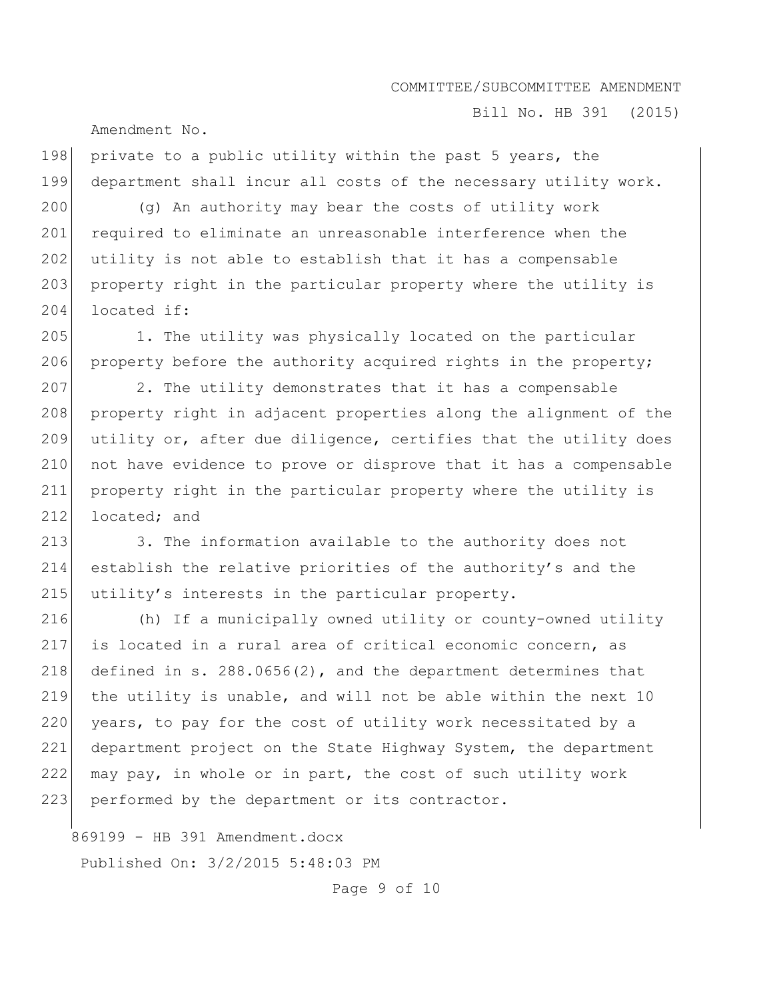Bill No. HB 391 (2015)

Amendment No.

198 private to a public utility within the past 5 years, the 199 department shall incur all costs of the necessary utility work.

200 (g) An authority may bear the costs of utility work 201 required to eliminate an unreasonable interference when the 202 utility is not able to establish that it has a compensable 203 property right in the particular property where the utility is 204 located if:

205 1. The utility was physically located on the particular 206 property before the authority acquired rights in the property;

207 2. The utility demonstrates that it has a compensable 208 property right in adjacent properties along the alignment of the 209 utility or, after due diligence, certifies that the utility does 210 not have evidence to prove or disprove that it has a compensable 211 property right in the particular property where the utility is 212 located; and

213 3. The information available to the authority does not 214 establish the relative priorities of the authority's and the 215 utility's interests in the particular property.

216 (h) If a municipally owned utility or county-owned utility 217 is located in a rural area of critical economic concern, as 218 defined in s. 288.0656(2), and the department determines that 219 the utility is unable, and will not be able within the next 10 220 years, to pay for the cost of utility work necessitated by a 221 department project on the State Highway System, the department 222 may pay, in whole or in part, the cost of such utility work 223 performed by the department or its contractor.

869199 - HB 391 Amendment.docx Published On: 3/2/2015 5:48:03 PM

Page 9 of 10